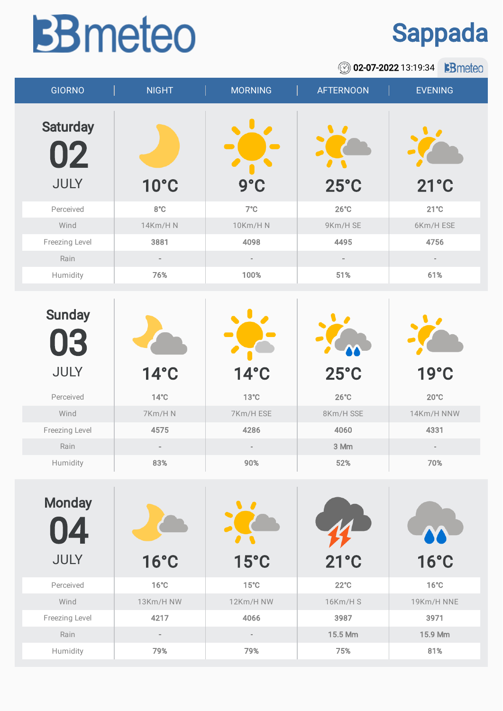## **BB** meteo

## Sappada

**8** 02-07-2022 13:19:34 **B**meteo

| <b>GIORNO</b>                        | <b>NIGHT</b>   | <b>MORNING</b> | <b>AFTERNOON</b>           | <b>EVENING</b> |
|--------------------------------------|----------------|----------------|----------------------------|----------------|
| <b>Saturday</b><br>02<br><b>JULY</b> | <b>10°C</b>    | $9^\circ C$    | <b>A</b><br>$25^{\circ}$ C | $21^{\circ}$ C |
| Perceived                            | $8^{\circ}$ C  | $7^{\circ}$ C  | $26^{\circ}$ C             | $21^{\circ}$ C |
| Wind                                 | <b>14Km/HN</b> | 10Km/H N       | 9Km/H SE                   | 6Km/H ESE      |
| Freezing Level                       | 3881           | 4098           | 4495                       | 4756           |
| Rain                                 | $\sim$         | $\sim$         | $\equiv$                   |                |
| Humidity                             | 76%            | 100%           | 51%                        | 61%            |
|                                      |                |                |                            |                |
| <b>Cundov</b>                        |                |                | $\sim$                     | $\sim$         |

| <b>Sunday</b><br>03<br><b>JULY</b> | $14^{\circ}$ C | $14^{\circ}$ C | $25^{\circ}$ C | 19°C           |
|------------------------------------|----------------|----------------|----------------|----------------|
| Perceived                          | $14^{\circ}$ C | $13^{\circ}$ C | $26^{\circ}$ C | $20^{\circ}$ C |
| Wind                               | 7Km/HN         | 7Km/H ESE      | 8Km/H SSE      | 14Km/H NNW     |
| Freezing Level                     | 4575           | 4286           | 4060           | 4331           |
| Rain                               | $\sim$         | $\sim$         | 3 Mm           | $\sim$         |
| Humidity                           | 83%            | 90%            | 52%            | 70%            |

| <b>Monday</b><br><b>4</b><br>U<br><b>JULY</b> | $16^{\circ}$ C | $15^{\circ}$ C | $21^{\circ}$ C | <b>16°C</b>    |
|-----------------------------------------------|----------------|----------------|----------------|----------------|
| Perceived                                     | $16^{\circ}$ C | $15^{\circ}$ C | $22^{\circ}$ C | $16^{\circ}$ C |
| Wind                                          | 13Km/H NW      | 12Km/H NW      | 16Km/HS        | 19Km/H NNE     |
| Freezing Level                                | 4217           | 4066           | 3987           | 3971           |
| Rain                                          | $\sim$         | $\sim$         | 15.5 Mm        | 15.9 Mm        |
| Humidity                                      | 79%            | 79%            | 75%            | 81%            |